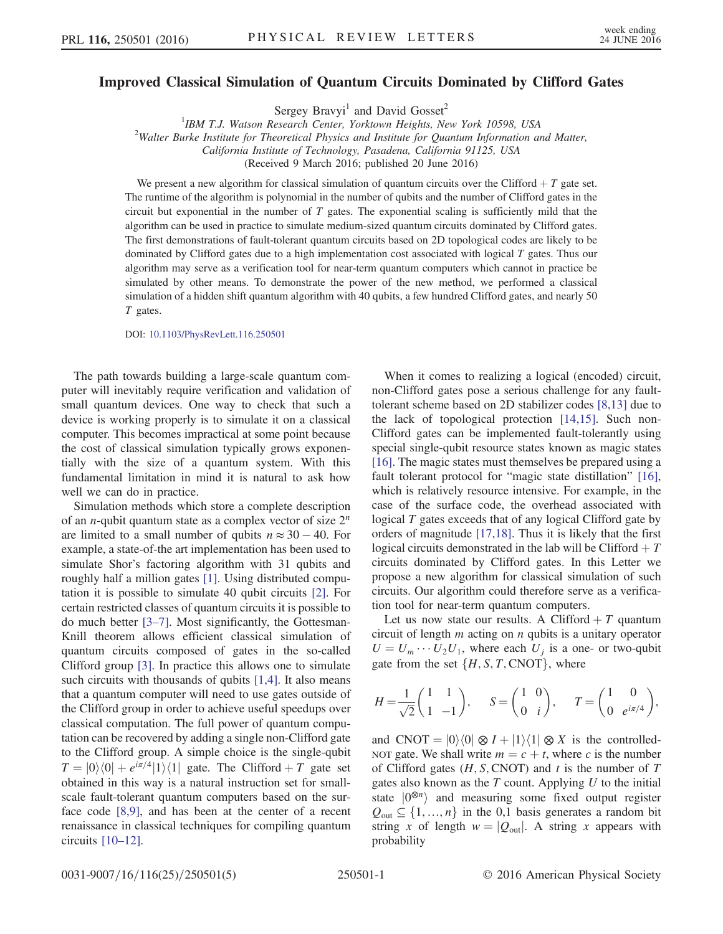## Improved Classical Simulation of Quantum Circuits Dominated by Clifford Gates

Sergey Bravyi<sup>1</sup> and David Gosset<sup>2</sup>

<sup>1</sup>IBM T.J. Watson Research Center, Yorktown Heights, New York 10598, USA<sup>2</sup>Walter Burks Institute for Theoretical Physics and Institute for Quantum Information at  $2$ Walter Burke Institute for Theoretical Physics and Institute for Quantum Information and Matter, California Institute of Technology, Pasadena, California 91125, USA

(Received 9 March 2016; published 20 June 2016)

We present a new algorithm for classical simulation of quantum circuits over the Clifford  $+ T$  gate set. The runtime of the algorithm is polynomial in the number of qubits and the number of Clifford gates in the circuit but exponential in the number of  $T$  gates. The exponential scaling is sufficiently mild that the algorithm can be used in practice to simulate medium-sized quantum circuits dominated by Clifford gates. The first demonstrations of fault-tolerant quantum circuits based on 2D topological codes are likely to be dominated by Clifford gates due to a high implementation cost associated with logical T gates. Thus our algorithm may serve as a verification tool for near-term quantum computers which cannot in practice be simulated by other means. To demonstrate the power of the new method, we performed a classical simulation of a hidden shift quantum algorithm with 40 qubits, a few hundred Clifford gates, and nearly 50 T gates.

DOI: [10.1103/PhysRevLett.116.250501](http://dx.doi.org/10.1103/PhysRevLett.116.250501)

The path towards building a large-scale quantum computer will inevitably require verification and validation of small quantum devices. One way to check that such a device is working properly is to simulate it on a classical computer. This becomes impractical at some point because the cost of classical simulation typically grows exponentially with the size of a quantum system. With this fundamental limitation in mind it is natural to ask how well we can do in practice.

Simulation methods which store a complete description of an *n*-qubit quantum state as a complex vector of size  $2^n$ are limited to a small number of qubits  $n \approx 30 - 40$ . For example, a state-of-the art implementation has been used to simulate Shor's factoring algorithm with 31 qubits and roughly half a million gates [\[1\]](#page-4-0). Using distributed computation it is possible to simulate 40 qubit circuits [\[2\]](#page-4-1). For certain restricted classes of quantum circuits it is possible to do much better [3–[7\]](#page-4-2). Most significantly, the Gottesman-Knill theorem allows efficient classical simulation of quantum circuits composed of gates in the so-called Clifford group [\[3\].](#page-4-2) In practice this allows one to simulate such circuits with thousands of qubits [\[1,4\]](#page-4-0). It also means that a quantum computer will need to use gates outside of the Clifford group in order to achieve useful speedups over classical computation. The full power of quantum computation can be recovered by adding a single non-Clifford gate to the Clifford group. A simple choice is the single-qubit  $T = |0\rangle\langle 0| + e^{i\pi/4} |1\rangle\langle 1|$  gate. The Clifford + T gate set obtained in this way is a natural instruction set for smallscale fault-tolerant quantum computers based on the surface code [\[8,9\]](#page-4-3), and has been at the center of a recent renaissance in classical techniques for compiling quantum circuits [\[10](#page-4-4)–12].

When it comes to realizing a logical (encoded) circuit, non-Clifford gates pose a serious challenge for any faulttolerant scheme based on 2D stabilizer codes [\[8,13\]](#page-4-3) due to the lack of topological protection [\[14,15\].](#page-4-5) Such non-Clifford gates can be implemented fault-tolerantly using special single-qubit resource states known as magic states [\[16\]](#page-4-6). The magic states must themselves be prepared using a fault tolerant protocol for "magic state distillation" [\[16\]](#page-4-6), which is relatively resource intensive. For example, in the case of the surface code, the overhead associated with logical T gates exceeds that of any logical Clifford gate by orders of magnitude [\[17,18\]](#page-4-7). Thus it is likely that the first logical circuits demonstrated in the lab will be Clifford  $+T$ circuits dominated by Clifford gates. In this Letter we propose a new algorithm for classical simulation of such circuits. Our algorithm could therefore serve as a verification tool for near-term quantum computers.

Let us now state our results. A Clifford  $+T$  quantum circuit of length  $m$  acting on  $n$  qubits is a unitary operator  $U = U_m \cdots U_2 U_1$ , where each  $U_j$  is a one- or two-qubit<br>onte from the set  $\int H \times T$  CNOTL where gate from the set  $\{H, S, T, \text{CNOT}\}$ , where

$$
H = \frac{1}{\sqrt{2}} \begin{pmatrix} 1 & 1 \\ 1 & -1 \end{pmatrix}, \quad S = \begin{pmatrix} 1 & 0 \\ 0 & i \end{pmatrix}, \quad T = \begin{pmatrix} 1 & 0 \\ 0 & e^{i\pi/4} \end{pmatrix},
$$

and CNOT =  $|0\rangle\langle 0| \otimes I + |1\rangle\langle 1| \otimes X$  is the controlled-NOT gate. We shall write  $m = c + t$ , where c is the number of Clifford gates  $(H, S, CNOT)$  and t is the number of T gates also known as the  $T$  count. Applying  $U$  to the initial state  $|0^{\otimes n}\rangle$  and measuring some fixed output register  $Q_{\text{out}} \subseteq \{1, ..., n\}$  in the 0,1 basis generates a random bit string x of length  $w = |Q_{\text{out}}|$ . A string x appears with probability

0031-9007/16/116(25)/250501(5) 250501-1 © 2016 American Physical Society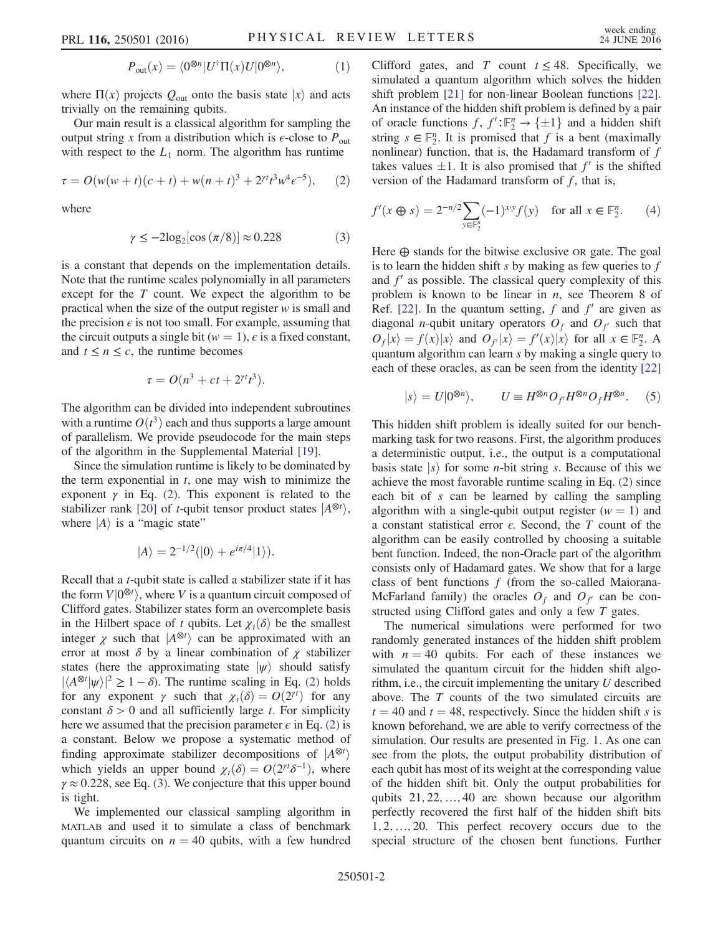$$
P_{\text{out}}(x) = \langle 0^{\otimes n} | U^{\dagger} \Pi(x) U | 0^{\otimes n} \rangle, \tag{1}
$$

where  $\Pi(x)$  projects  $Q_{\text{out}}$  onto the basis state  $|x\rangle$  and acts trivially on the remaining qubits.

<span id="page-1-0"></span>Our main result is a classical algorithm for sampling the output string x from a distribution which is  $\epsilon$ -close to  $P_{\text{out}}$ with respect to the  $L_1$  norm. The algorithm has runtime

$$
\tau = O(w(w+t)(c+t) + w(n+t)^3 + 2^{rt}t^3w^4e^{-5}), \qquad (2)
$$

<span id="page-1-1"></span>where

$$
\gamma \le -2\log_2[\cos\left(\frac{\pi}{8}\right)] \approx 0.228\tag{3}
$$

is a constant that depends on the implementation details. Note that the runtime scales polynomially in all parameters except for the T count. We expect the algorithm to be practical when the size of the output register  $w$  is small and the precision  $\epsilon$  is not too small. For example, assuming that the circuit outputs a single bit ( $w = 1$ ),  $\epsilon$  is a fixed constant, and  $t \leq n \leq c$ , the runtime becomes

$$
\tau = O(n^3 + ct + 2^{rt}t^3).
$$

The algorithm can be divided into independent subroutines with a runtime  $O(t^3)$  each and thus supports a large amount<br>of parallelism. We provide pseudocode for the main steps of parallelism. We provide pseudocode for the main steps of the algorithm in the Supplemental Material [\[19\]](#page-4-8).

Since the simulation runtime is likely to be dominated by the term exponential in  $t$ , one may wish to minimize the exponent  $\gamma$  in Eq. [\(2\)](#page-1-0). This exponent is related to the stabilizer rank [\[20\]](#page-4-9) of *t*-qubit tensor product states  $|A^{\otimes t}\rangle$ ,<br>where  $|A\rangle$  is a "magic state" where  $|A\rangle$  is a "magic state"

$$
|A\rangle = 2^{-1/2}(|0\rangle + e^{i\pi/4}|1\rangle).
$$

Recall that a t-qubit state is called a stabilizer state if it has the form  $V|0^{\otimes t}$ , where V is a quantum circuit composed of Clifford gates. Stabilizer states form an overcomplete basis Clifford gates. Stabilizer states form an overcomplete basis in the Hilbert space of t qubits. Let  $\chi_t(\delta)$  be the smallest integer  $\chi$  such that  $|A^{\otimes t}\rangle$  can be approximated with an error at most  $\delta$  by a linear combination of  $\chi$  stabilizer states (here the approximating state  $|\psi\rangle$  should satisfy  $|\langle A^{\otimes t} | \psi \rangle|^2 \ge 1 - \delta$ ). The runtime scaling in Eq. [\(2\)](#page-1-0) holds<br>for any exponent  $\chi$  such that  $\chi(\delta) = O(2^{\gamma t})$  for any for any exponent  $\gamma$  such that  $\chi_t(\delta) = O(2^{\gamma t})$  for any constant  $\delta > 0$  and all sufficiently large t. For simplicity constant  $\delta > 0$  and all sufficiently large t. For simplicity here we assumed that the precision parameter  $\epsilon$  in Eq. [\(2\)](#page-1-0) is a constant. Below we propose a systematic method of finding approximate stabilizer decompositions of  $|A^{\otimes t}\rangle$ which yields an upper bound  $\chi_t(\delta) = O(2^{rt} \delta^{-1})$ , where<br> $\chi \approx 0.228$  see Eq. (3). We conjecture that this upper bound  $\gamma \approx 0.228$ , see Eq. [\(3\).](#page-1-1) We conjecture that this upper bound is tight.

We implemented our classical sampling algorithm in MATLAB and used it to simulate a class of benchmark quantum circuits on  $n = 40$  qubits, with a few hundred Clifford gates, and T count  $t \leq 48$ . Specifically, we simulated a quantum algorithm which solves the hidden shift problem [\[21\]](#page-4-10) for non-linear Boolean functions [\[22\]](#page-4-11). An instance of the hidden shift problem is defined by a pair of oracle functions  $f, f': \mathbb{F}_2^n \to \{\pm 1\}$  and a hidden shift<br>string  $s \in \mathbb{F}^n$ . It is promised that f is a bent (maximally string  $s \in \mathbb{F}_2^n$ . It is promised that f is a bent (maximally nonlinear) function, that is, the Hadamard transform of f takes values  $\pm 1$ . It is also promised that  $f'$  is the shifted version of the Hadamard transform of  $f$ , that is,

$$
f'(x \oplus s) = 2^{-n/2} \sum_{y \in \mathbb{F}_2^n} (-1)^{x \cdot y} f(y) \quad \text{for all } x \in \mathbb{F}_2^n. \tag{4}
$$

Here  $\oplus$  stands for the bitwise exclusive OR gate. The goal is to learn the hidden shift  $s$  by making as few queries to  $f$ and  $f<sup>'</sup>$  as possible. The classical query complexity of this problem is known to be linear in  $n$ , see Theorem 8 of Ref. [\[22\]](#page-4-11). In the quantum setting,  $f$  and  $f'$  are given as diagonal *n*-qubit unitary operators  $O_f$  and  $O_{f'}$  such that  $O_f|x\rangle = f(x)|x\rangle$  and  $O_{f'}|x\rangle = f'(x)|x\rangle$  for all  $x \in \mathbb{F}_2^n$ . A quantum algorithm can learn s by making a single query to quantum algorithm can learn s by making a single query to each of these oracles, as can be seen from the identity [\[22\]](#page-4-11)

$$
|s\rangle = U|0^{\otimes n}\rangle, \qquad U \equiv H^{\otimes n}O_{f'}H^{\otimes n}O_{f}H^{\otimes n}.
$$
 (5)

This hidden shift problem is ideally suited for our benchmarking task for two reasons. First, the algorithm produces a deterministic output, i.e., the output is a computational basis state  $|s\rangle$  for some *n*-bit string *s*. Because of this we achieve the most favorable runtime scaling in Eq. [\(2\)](#page-1-0) since each bit of s can be learned by calling the sampling algorithm with a single-qubit output register  $(w = 1)$  and a constant statistical error  $\epsilon$ . Second, the T count of the algorithm can be easily controlled by choosing a suitable bent function. Indeed, the non-Oracle part of the algorithm consists only of Hadamard gates. We show that for a large class of bent functions  $f$  (from the so-called Maiorana-McFarland family) the oracles  $O_f$  and  $O_{f'}$  can be constructed using Clifford gates and only a few T gates.

The numerical simulations were performed for two randomly generated instances of the hidden shift problem with  $n = 40$  qubits. For each of these instances we simulated the quantum circuit for the hidden shift algorithm, i.e., the circuit implementing the unitary  $U$  described above. The T counts of the two simulated circuits are  $t = 40$  and  $t = 48$ , respectively. Since the hidden shift s is known beforehand, we are able to verify correctness of the simulation. Our results are presented in Fig. [1](#page-2-0). As one can see from the plots, the output probability distribution of each qubit has most of its weight at the corresponding value of the hidden shift bit. Only the output probabilities for qubits  $21, 22, \ldots, 40$  are shown because our algorithm perfectly recovered the first half of the hidden shift bits 1; 2; …; 20. This perfect recovery occurs due to the special structure of the chosen bent functions. Further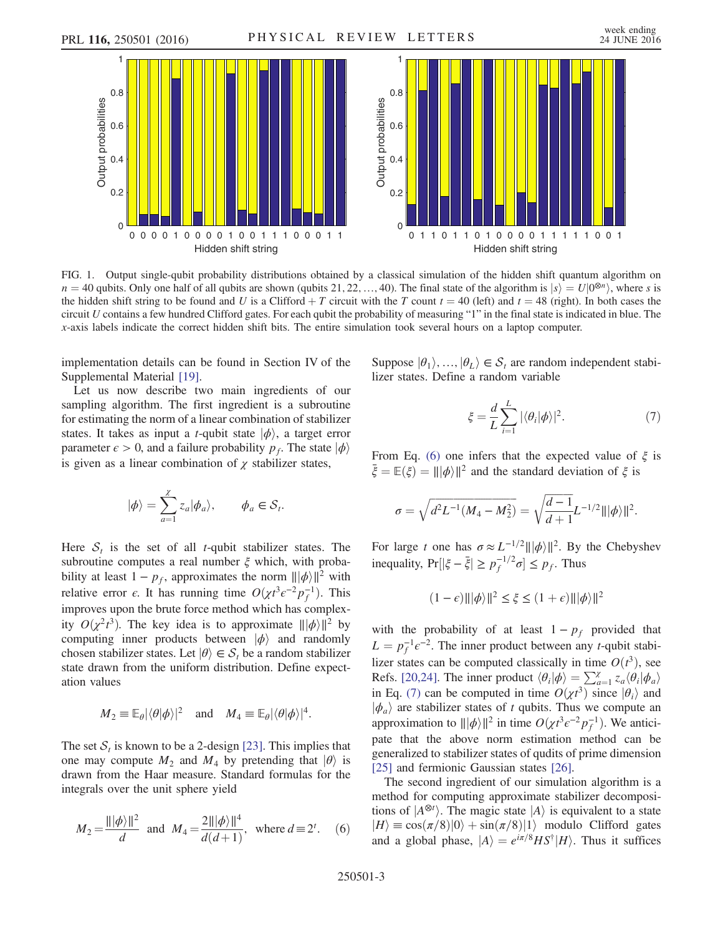<span id="page-2-0"></span>

FIG. 1. Output single-qubit probability distributions obtained by a classical simulation of the hidden shift quantum algorithm on  $n = 40$  qubits. Only one half of all qubits are shown (qubits 21, 22, …, 40). The final state of the algorithm is  $|s\rangle = U|0^{\otimes n}\rangle$ , where s is the hidden shift string to be found and U is a Clifford  $+T$  circuit with the T count  $t = 40$  (left) and  $t = 48$  (right). In both cases the circuit U contains a few hundred Clifford gates. For each qubit the probability of measuring "1" in the final state is indicated in blue. The x-axis labels indicate the correct hidden shift bits. The entire simulation took several hours on a laptop computer.

implementation details can be found in Section IV of the Supplemental Material [\[19\].](#page-4-8)

Let us now describe two main ingredients of our sampling algorithm. The first ingredient is a subroutine for estimating the norm of a linear combination of stabilizer states. It takes as input a *t*-qubit state  $|\phi\rangle$ , a target error parameter  $\epsilon > 0$ , and a failure probability  $p_f$ . The state  $|\phi\rangle$ is given as a linear combination of  $\chi$  stabilizer states,

$$
|\phi\rangle = \sum_{a=1}^{\chi} z_a |\phi_a\rangle, \qquad \phi_a \in \mathcal{S}_t.
$$

Here  $S_t$  is the set of all *t*-qubit stabilizer states. The subroutine computes a real number  $\xi$  which, with probability at least  $1 - p_f$ , approximates the norm  $\| |\phi\rangle\|^2$  with relative error  $\epsilon$ . It has running time  $O(\chi t^3 \epsilon^{-2} p_f^{-1})$ . This improves upon the brute force method which has complexity  $O(x^2t^3)$ . The key idea is to approximate  $||\phi||^2$  by computing inner products between  $|\phi\rangle$  and randomly computing inner products between  $|\phi\rangle$  and randomly chosen stabilizer states. Let  $|\theta\rangle \in S_t$  be a random stabilizer state drawn from the uniform distribution. Define expectation values

$$
M_2 \equiv \mathbb{E}_{\theta} |\langle \theta | \phi \rangle|^2
$$
 and  $M_4 \equiv \mathbb{E}_{\theta} |\langle \theta | \phi \rangle|^4$ .

<span id="page-2-1"></span>The set  $S_t$  is known to be a 2-design [\[23\].](#page-4-12) This implies that one may compute  $M_2$  and  $M_4$  by pretending that  $|\theta\rangle$  is drawn from the Haar measure. Standard formulas for the integrals over the unit sphere yield

$$
M_2 = \frac{\||\phi\rangle\|^2}{d}
$$
 and  $M_4 = \frac{2\||\phi\rangle\|^4}{d(d+1)}$ , where  $d \equiv 2^t$ . (6)

<span id="page-2-2"></span>Suppose  $|\theta_1\rangle$ , …,  $|\theta_L\rangle \in S_t$  are random independent stabilizer states. Define a random variable

$$
\xi = \frac{d}{L} \sum_{i=1}^{L} |\langle \theta_i | \phi \rangle|^2. \tag{7}
$$

From Eq. [\(6\)](#page-2-1) one infers that the expected value of  $\xi$  is  $\bar{\xi} = \mathbb{E}(\xi) = ||\phi||^2$  and the standard deviation of  $\xi$  is

$$
\sigma = \sqrt{d^2 L^{-1} (M_4 - M_2^2)} = \sqrt{\frac{d-1}{d+1}} L^{-1/2} |||\phi\rangle||^2.
$$

For large t one has  $\sigma \approx L^{-1/2} ||\phi\rangle||^2$ . By the Chebyshev inequality,  $Pr[|\xi - \bar{\xi}| \ge p_f^{-1/2} \sigma] \le p_f$ . Thus

$$
(1 - \epsilon) \|\|\phi\rangle\|^2 \le \xi \le (1 + \epsilon) \|\|\phi\rangle\|^2
$$

with the probability of at least  $1 - p_f$  provided that  $L = p_f^{-1}e^{-2}$ . The inner product between any t-qubit stabi-<br>lines that are he commuted alone in the  $O(\lambda^3)$ lizer states can be computed classically in time  $O(t^3)$ , see<br>Refs [20.24] The inner product  $\langle A|\phi \rangle = \sum_{\alpha=1}^{\infty} \frac{a}{\alpha} \langle A|\phi \rangle$ Refs. [\[20,24\]](#page-4-9). The inner product  $\langle \theta_i | \phi \rangle = \sum_{a=1}^{\chi} z_a \langle \theta_i | \phi_a \rangle$ <br>in Eq. (7) can be computed in time  $Q(x^3)$  since  $|\theta \rangle$  and in Eq. [\(7\)](#page-2-2) can be computed in time  $O(\chi t^3)$  since  $|\theta_i\rangle$  and  $|\phi \rangle$  are stabilizer states of t qubits. Thus we compute an  $|\phi_a\rangle$  are stabilizer states of t qubits. Thus we compute an approximation to  $||\phi\rangle||^2$  in time  $O(\chi t^3 \epsilon^{-2} p_f^{-1})$ . We antici-<br>path that the shows norm astimation mathod can be pate that the above norm estimation method can be generalized to stabilizer states of qudits of prime dimension [\[25\]](#page-4-13) and fermionic Gaussian states [\[26\]](#page-4-14).

The second ingredient of our simulation algorithm is a method for computing approximate stabilizer decompositions of  $|A^{\otimes t}\rangle$ . The magic state  $|A\rangle$  is equivalent to a state  $|H\rangle = \cos(\pi/8)|0\rangle + \sin(\pi/8)|1\rangle$  modulo. Clifford, gates  $|H\rangle \equiv \cos(\pi/8)|0\rangle + \sin(\pi/8)|1\rangle$  modulo Clifford gates and a global phase,  $|A\rangle = e^{i\pi/8}HS^{\dagger}|H\rangle$ . Thus it suffices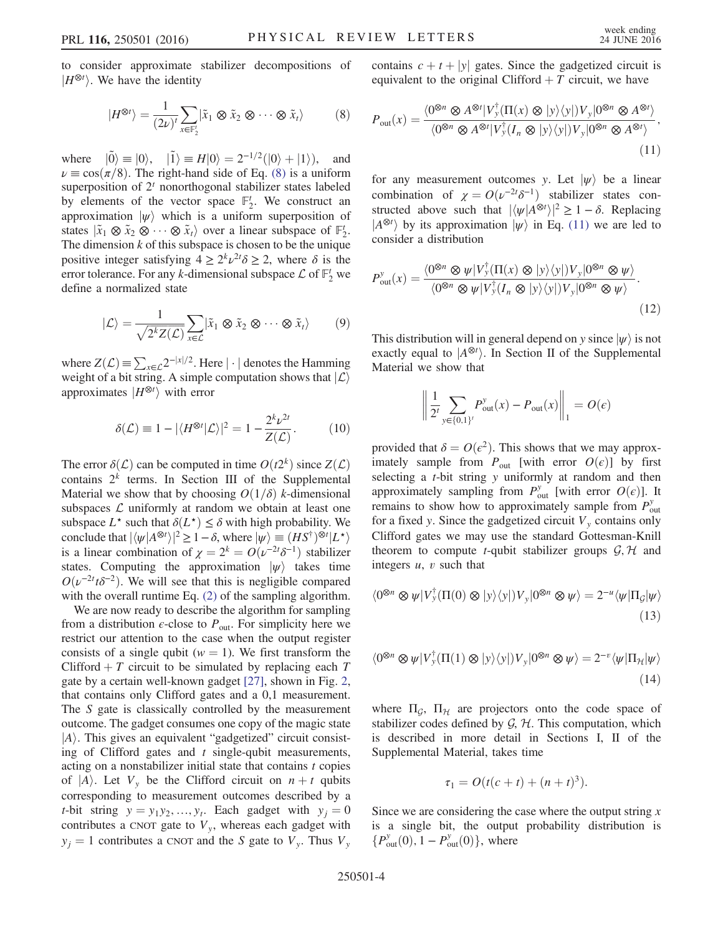<span id="page-3-0"></span>to consider approximate stabilizer decompositions of  $|H^{\otimes t}\rangle$ . We have the identity

$$
|H^{\otimes t}\rangle = \frac{1}{(2\nu)^t} \sum_{x \in \mathbb{F}_2^t} |\tilde{x}_1 \otimes \tilde{x}_2 \otimes \cdots \otimes \tilde{x}_t\rangle \tag{8}
$$

where  $|\tilde{0}\rangle \equiv |0\rangle$ ,  $|\tilde{1}\rangle \equiv H|0\rangle = 2^{-1/2}(|0\rangle + |1\rangle)$ , and  $\nu \equiv \cos(\pi/8)$ . The right-hand side of Eq. [\(8\)](#page-3-0) is a uniform superposition of  $2<sup>t</sup>$  nonorthogonal stabilizer states labeled by elements of the vector space  $\mathbb{F}_2^t$ . We construct an approximation  $|\psi\rangle$  which is a uniform superposition of states  $|\tilde{x}_1 \otimes \tilde{x}_2 \otimes \cdots \otimes \tilde{x}_t\rangle$  over a linear subspace of  $\mathbb{F}_2'$ .<br>The dimension k of this subspace is chosen to be the unique The dimension k of this subspace is chosen to be the unique positive integer satisfying  $4 \ge 2^k \nu^{2} \delta \ge 2$ , where  $\delta$  is the error tolerance. For any k-dimensional subspace  $\mathcal L$  of  $\mathbb F_2^t$  we define a normalized state

$$
|\mathcal{L}\rangle = \frac{1}{\sqrt{2^k Z(\mathcal{L})}} \sum_{x \in \mathcal{L}} |\tilde{x}_1 \otimes \tilde{x}_2 \otimes \cdots \otimes \tilde{x}_t\rangle \qquad (9)
$$

where  $Z(\mathcal{L}) \equiv \sum_{x \in \mathcal{L}} 2^{-|x|/2}$ . Here  $|\cdot|$  denotes the Hamming weight of a bit string. A simple computation shows that  $|\mathcal{L}\rangle$ approximates  $|H^{\otimes t}\rangle$  with error

$$
\delta(\mathcal{L}) \equiv 1 - |\langle H^{\otimes t} | \mathcal{L} \rangle|^2 = 1 - \frac{2^k \nu^{2t}}{Z(\mathcal{L})}.
$$
 (10)

The error  $\delta(\mathcal{L})$  can be computed in time  $O(t2^k)$  since  $Z(\mathcal{L})$ contains  $2^k$  terms. In Section III of the Supplemental Material we show that by choosing  $O(1/\delta)$  k-dimensional subspaces  $\mathcal L$  uniformly at random we obtain at least one subspace  $L^*$  such that  $\delta(L^*) \leq \delta$  with high probability. We conclude that  $|\langle \psi | A^{\otimes t} \rangle|^2 \ge 1 - \delta$ , where  $|\psi\rangle \equiv (H S^{\dagger})^{\otimes t} |L^{\star}\rangle$ is a linear combination of  $\chi = 2^k = O(\nu^{-2t} \delta^{-1})$  stabilizer<br>states. Computing the approximation  $|\psi\rangle$  takes time states. Computing the approximation  $|\psi\rangle$  takes time  $O(\nu^{-2t} t \delta^{-2})$ . We will see that this is negligible compared<br>with the overall runtime Eq. (2) of the sampling algorithm with the overall runtime Eq. [\(2\)](#page-1-0) of the sampling algorithm.

We are now ready to describe the algorithm for sampling from a distribution  $\epsilon$ -close to  $P_{\text{out}}$ . For simplicity here we restrict our attention to the case when the output register consists of a single qubit ( $w = 1$ ). We first transform the Clifford  $+ T$  circuit to be simulated by replacing each T gate by a certain well-known gadget [\[27\],](#page-4-15) shown in Fig. [2](#page-4-16), that contains only Clifford gates and a 0,1 measurement. The S gate is classically controlled by the measurement outcome. The gadget consumes one copy of the magic state  $|A\rangle$ . This gives an equivalent "gadgetized" circuit consisting of Clifford gates and  $t$  single-qubit measurements, acting on a nonstabilizer initial state that contains  $t$  copies of  $|A\rangle$ . Let  $V_y$  be the Clifford circuit on  $n + t$  qubits corresponding to measurement outcomes described by a t-bit string  $y = y_1y_2, ..., y_t$ . Each gadget with  $y_i = 0$ contributes a CNOT gate to  $V<sub>y</sub>$ , whereas each gadget with  $y_j = 1$  contributes a CNOT and the S gate to  $V_y$ . Thus  $V_y$ 

<span id="page-3-1"></span>contains  $c + t + |y|$  gates. Since the gadgetized circuit is equivalent to the original Clifford  $+T$  circuit, we have

$$
P_{\text{out}}(x) = \frac{\langle 0^{\otimes n} \otimes A^{\otimes t} | V_y^{\dagger}(\Pi(x) \otimes |y\rangle\langle y|) V_y | 0^{\otimes n} \otimes A^{\otimes t} \rangle}{\langle 0^{\otimes n} \otimes A^{\otimes t} | V_y^{\dagger} (I_n \otimes |y\rangle\langle y|) V_y | 0^{\otimes n} \otimes A^{\otimes t} \rangle},\tag{11}
$$

for any measurement outcomes y. Let  $|\psi\rangle$  be a linear combination of  $\chi = O(\nu^{-2t} \delta^{-1})$  stabilizer states con-<br>structed above such that  $|\frac{f}{\nu}(A^{\otimes t})|^2 > 1 - \delta$ . Replacing structed above such that  $|\langle \psi | A^{\otimes t} \rangle|^2 \ge 1 - \delta$ . Replacing  $|A^{\otimes t} \rangle$  by its approximation  $|\psi|$  in Eq. (11) we are led to  $|A^{\otimes t}\rangle$  by its approximation  $|\psi\rangle$  in Eq. [\(11\)](#page-3-1) we are led to consider a distribution consider a distribution

$$
P_{\text{out}}^{\text{y}}(x) = \frac{\langle 0^{\otimes n} \otimes \psi | V_{\text{y}}^{\dagger}(\Pi(x) \otimes |y\rangle\langle y|) V_{\text{y}} | 0^{\otimes n} \otimes \psi \rangle}{\langle 0^{\otimes n} \otimes \psi | V_{\text{y}}^{\dagger} (I_n \otimes |y\rangle\langle y|) V_{\text{y}} | 0^{\otimes n} \otimes \psi \rangle}.
$$
\n(12)

This distribution will in general depend on y since  $|\psi\rangle$  is not exactly equal to  $|A^{\otimes t}\rangle$ . In Section II of the Supplemental<br>Material we show that Material we show that

$$
\left\| \frac{1}{2^t} \sum_{y \in \{0,1\}^t} P_{\text{out}}^y(x) - P_{\text{out}}(x) \right\|_1 = O(\epsilon)
$$

provided that  $\delta = O(\epsilon^2)$ . This shows that we may approximately sample from  $P_{\text{out}}$  [with error  $O(\epsilon)$ ] by first selecting a *t*-bit string *y* uniformly at random and then approximately sampling from  $P_{\text{out}}^y$  [with error  $O(\epsilon)$ ]. It remains to show how to approximately sample from  $P_{out}^y$ for a fixed y. Since the gadgetized circuit  $V<sub>y</sub>$  contains only Clifford gates we may use the standard Gottesman-Knill theorem to compute *t*-qubit stabilizer groups  $G, H$  and integers  $u$ ,  $v$  such that

$$
\langle 0^{\otimes n} \otimes \psi | V_y^{\dagger}(\Pi(0) \otimes |y\rangle\langle y|) V_y | 0^{\otimes n} \otimes \psi \rangle = 2^{-u} \langle \psi | \Pi_{\mathcal{G}} | \psi \rangle
$$
\n(13)

$$
\langle 0^{\otimes n} \otimes \psi | V_y^{\dagger}(\Pi(1) \otimes |y\rangle\langle y|) V_y | 0^{\otimes n} \otimes \psi \rangle = 2^{-v} \langle \psi | \Pi_{\mathcal{H}} | \psi \rangle
$$
\n(14)

where  $\Pi_{\mathcal{G}}$ ,  $\Pi_{\mathcal{H}}$  are projectors onto the code space of stabilizer codes defined by  $G$ ,  $H$ . This computation, which is described in more detail in Sections I, II of the Supplemental Material, takes time

$$
\tau_1 = O(t(c + t) + (n + t)^3).
$$

<span id="page-3-2"></span>Since we are considering the case where the output string  $x$ is a single bit, the output probability distribution is  ${P_{\text{out}}^{y}(0), 1 - P_{\text{out}}^{y}(0)}$ , where